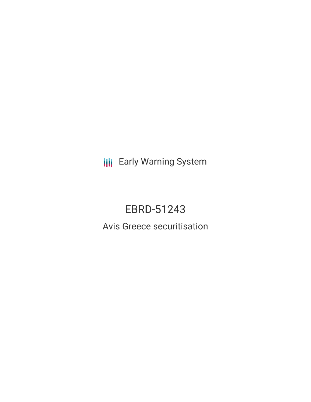**III** Early Warning System

# EBRD-51243

Avis Greece securitisation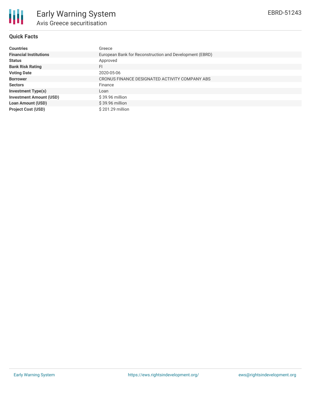

## **Quick Facts**

| <b>Countries</b>               | Greece                                                  |
|--------------------------------|---------------------------------------------------------|
| <b>Financial Institutions</b>  | European Bank for Reconstruction and Development (EBRD) |
| <b>Status</b>                  | Approved                                                |
| <b>Bank Risk Rating</b>        | FI                                                      |
| <b>Voting Date</b>             | 2020-05-06                                              |
| <b>Borrower</b>                | CRONUS FINANCE DESIGNATED ACTIVITY COMPANY ABS          |
| <b>Sectors</b>                 | Finance                                                 |
| <b>Investment Type(s)</b>      | Loan                                                    |
| <b>Investment Amount (USD)</b> | $$39.96$ million                                        |
| <b>Loan Amount (USD)</b>       | $$39.96$ million                                        |
| <b>Project Cost (USD)</b>      | \$201.29 million                                        |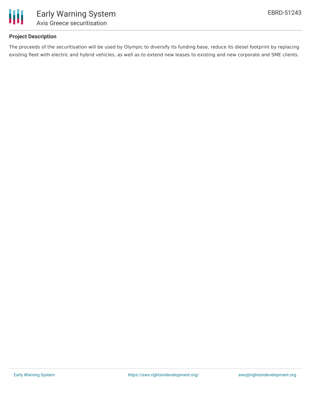

## **Project Description**

The proceeds of the securitisation will be used by Olympic to diversify its funding base, reduce its diesel footprint by replacing existing fleet with electric and hybrid vehicles, as well as to extend new leases to existing and new corporate and SME clients.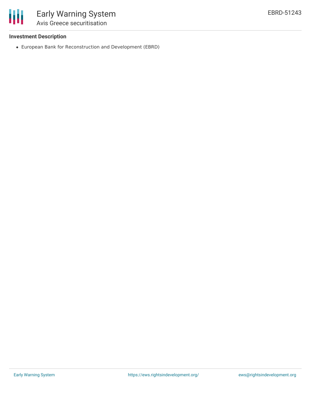

## **Investment Description**

European Bank for Reconstruction and Development (EBRD)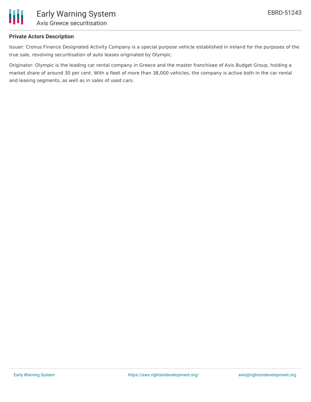

#### **Private Actors Description**

Issuer: Cronus Finance Designated Activity Company is a special purpose vehicle established in Ireland for the purposes of the true sale, revolving securitisation of auto leases originated by Olympic.

Originator: Olympic is the leading car rental company in Greece and the master franchisee of Avis Budget Group, holding a market share of around 30 per cent. With a fleet of more than 38,000 vehicles, the company is active both in the car rental and leasing segments, as well as in sales of used cars.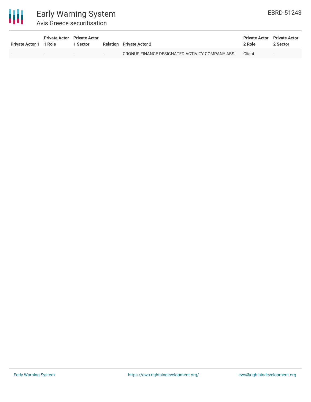

# Early Warning System Avis Greece securitisation

| Private Actor 1 1 Role |                          | <b>Private Actor</b> Private Actor<br><b>Sector</b> |        | <b>Relation</b> Private Actor 2                | <b>Private Actor</b> Private Actor<br>2 Role | 2 Sector                 |
|------------------------|--------------------------|-----------------------------------------------------|--------|------------------------------------------------|----------------------------------------------|--------------------------|
|                        | $\overline{\phantom{a}}$ | $\overline{\phantom{a}}$                            | $\sim$ | CRONUS FINANCE DESIGNATED ACTIVITY COMPANY ABS | Client                                       | $\overline{\phantom{a}}$ |